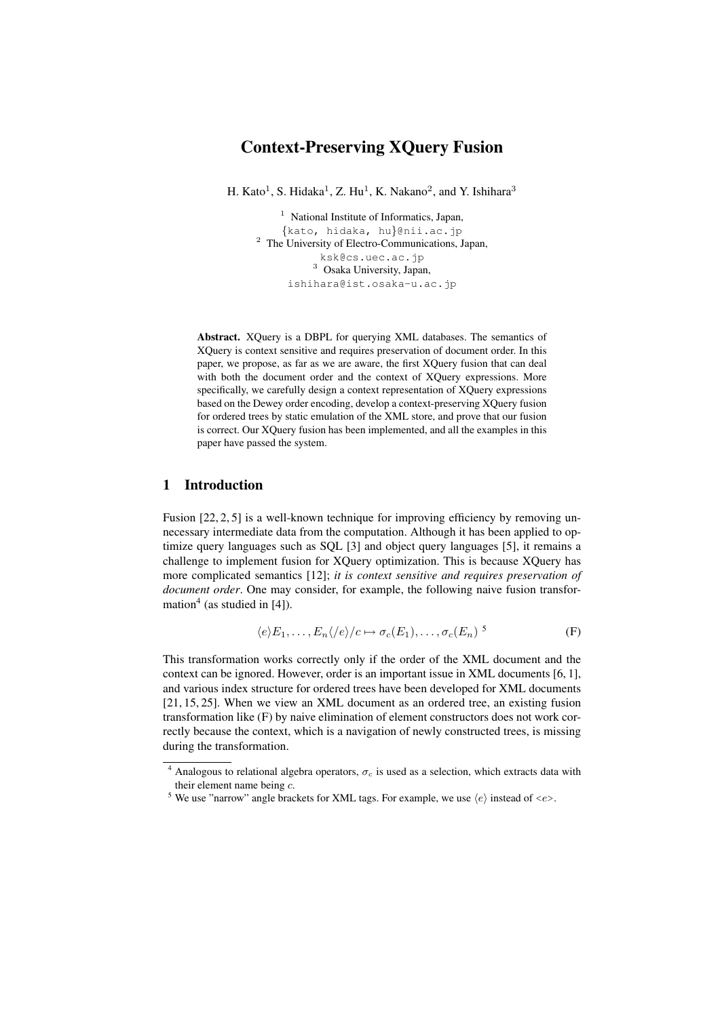# Context-Preserving XQuery Fusion

H. Kato<sup>1</sup>, S. Hidaka<sup>1</sup>, Z. Hu<sup>1</sup>, K. Nakano<sup>2</sup>, and Y. Ishihara<sup>3</sup>

<sup>1</sup> National Institute of Informatics, Japan, *{*kato, hidaka, hu*}*@nii.ac.jp <sup>2</sup> The University of Electro-Communications, Japan, ksk@cs.uec.ac.jp <sup>3</sup> Osaka University, Japan, ishihara@ist.osaka-u.ac.jp

Abstract. XQuery is a DBPL for querying XML databases. The semantics of XQuery is context sensitive and requires preservation of document order. In this paper, we propose, as far as we are aware, the first XQuery fusion that can deal with both the document order and the context of XQuery expressions. More specifically, we carefully design a context representation of XQuery expressions based on the Dewey order encoding, develop a context-preserving XQuery fusion for ordered trees by static emulation of the XML store, and prove that our fusion is correct. Our XQuery fusion has been implemented, and all the examples in this paper have passed the system.

## 1 Introduction

Fusion [22, 2, 5] is a well-known technique for improving efficiency by removing unnecessary intermediate data from the computation. Although it has been applied to optimize query languages such as SQL [3] and object query languages [5], it remains a challenge to implement fusion for XQuery optimization. This is because XQuery has more complicated semantics [12]; *it is context sensitive and requires preservation of document order*. One may consider, for example, the following naive fusion transformation<sup>4</sup> (as studied in [4]).

$$
\langle e \rangle E_1, \dots, E_n \langle e \rangle / c \mapsto \sigma_c(E_1), \dots, \sigma_c(E_n)^5 \tag{F}
$$

This transformation works correctly only if the order of the XML document and the context can be ignored. However, order is an important issue in XML documents [6, 1], and various index structure for ordered trees have been developed for XML documents [21, 15, 25]. When we view an XML document as an ordered tree, an existing fusion transformation like (F) by naive elimination of element constructors does not work correctly because the context, which is a navigation of newly constructed trees, is missing during the transformation.

<sup>&</sup>lt;sup>4</sup> Analogous to relational algebra operators,  $\sigma_c$  is used as a selection, which extracts data with their element name being *c*.

<sup>&</sup>lt;sup>5</sup> We use "narrow" angle brackets for XML tags. For example, we use  $\langle e \rangle$  instead of  $\langle e \rangle$ .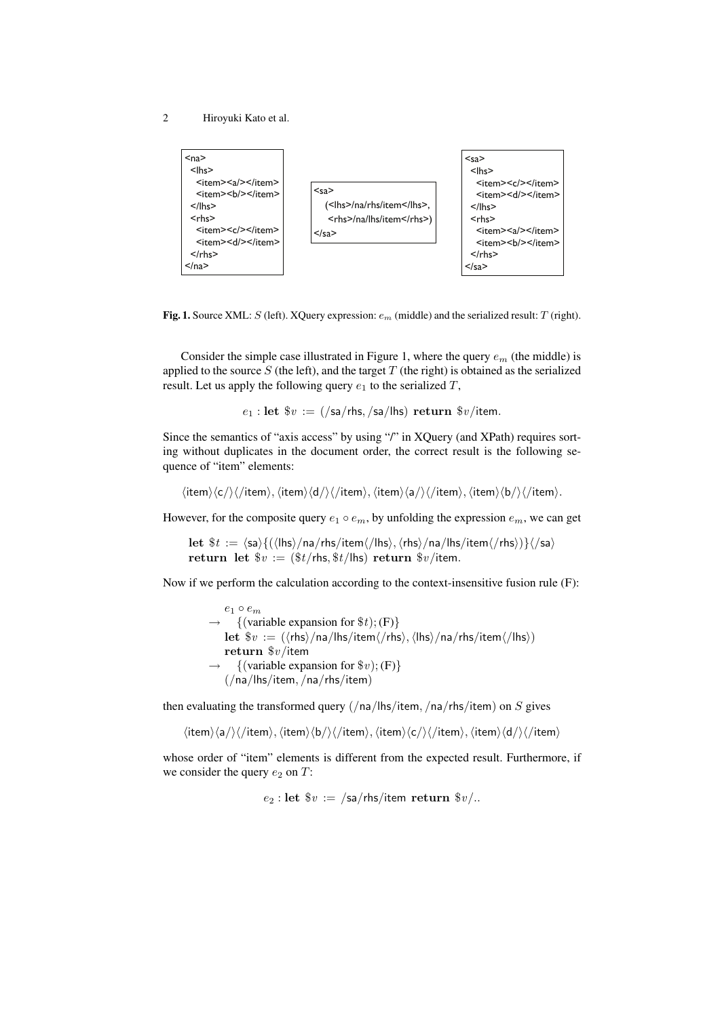

Fig. 1. Source XML: *S* (left). XQuery expression: *e<sup>m</sup>* (middle) and the serialized result: *T* (right).

Consider the simple case illustrated in Figure 1, where the query *e<sup>m</sup>* (the middle) is applied to the source  $S$  (the left), and the target  $T$  (the right) is obtained as the serialized result. Let us apply the following query  $e_1$  to the serialized  $T$ ,

 $e_1$ : **let**  $\$v := (\frac{\sqrt{sa}}{\hbar s}, \frac{\sqrt{sa}}{\hbar s})$  **return**  $\$v/item.$ 

Since the semantics of "axis access" by using "/" in XQuery (and XPath) requires sorting without duplicates in the document order, the correct result is the following sequence of "item" elements:

 $\langle \text{item}\rangle \langle c/\rangle \langle / \text{item}\rangle$ ,  $\langle \text{item}\rangle \langle d/\rangle \langle / \text{item}\rangle$ ,  $\langle \text{item}\rangle \langle a/\rangle \langle / \text{item}\rangle$ ,  $\langle \text{item}\rangle \langle b/\rangle \langle / \text{item}\rangle$ .

However, for the composite query  $e_1 \circ e_m$ , by unfolding the expression  $e_m$ , we can get

let  $t := \langle sa \rangle \{ (\langle \text{lhs} \rangle / \text{na/rhs} / \text{item} \langle \text{/lhs} \rangle, \langle \text{rhs} \rangle / \text{na/lhs} / \text{item} \langle \text{/rhs} \rangle) \} / \langle sa \rangle$ **return** let  $\$v := (\$t/r$ hs,  $\$t/l$ hs) **return**  $\$v/t$ item.

Now if we perform the calculation according to the context-insensitive fusion rule (F):

```
e_1 \circ e_m→ {(variable expansion for $t); (F)}
 let \mathcal{F}_v := (\langle \mathsf{rhs} \rangle / \mathsf{na} / \mathsf{l}\mathsf{hs}/\mathsf{item} \langle \mathsf{rhs} \rangle, \langle \mathsf{Ins} \rangle / \mathsf{na} / \mathsf{rhs}/\mathsf{item} \langle \mathsf{f} \mathsf{hs} \rangle)return $v/item
      → {(variable expansion for $v); (F)}
 (/na/lhs/item, /na/rhs/item)
```
then evaluating the transformed query (*/*na*/*lhs*/*item*, /*na*/*rhs*/*item) on *S* gives

 $\langle\langle\text{item}\rangle\langle\text{a}/\rangle\langle\text{/item}\rangle$ ,  $\langle\text{item}\rangle\langle\text{b}/\rangle\langle\text{/item}\rangle$ ,  $\langle\text{item}\rangle\langle\text{c}/\rangle\langle\text{/item}\rangle$ ,  $\langle\text{item}\rangle\langle\text{d}/\rangle\langle\text{/item}\rangle$ 

whose order of "item" elements is different from the expected result. Furthermore, if we consider the query  $e_2$  on  $T$ :

 $e_2$ : **let**  $\frac{6}{3}v := \frac{1}{5}$  /sa/rhs/item **return**  $\frac{6}{3}v$ /...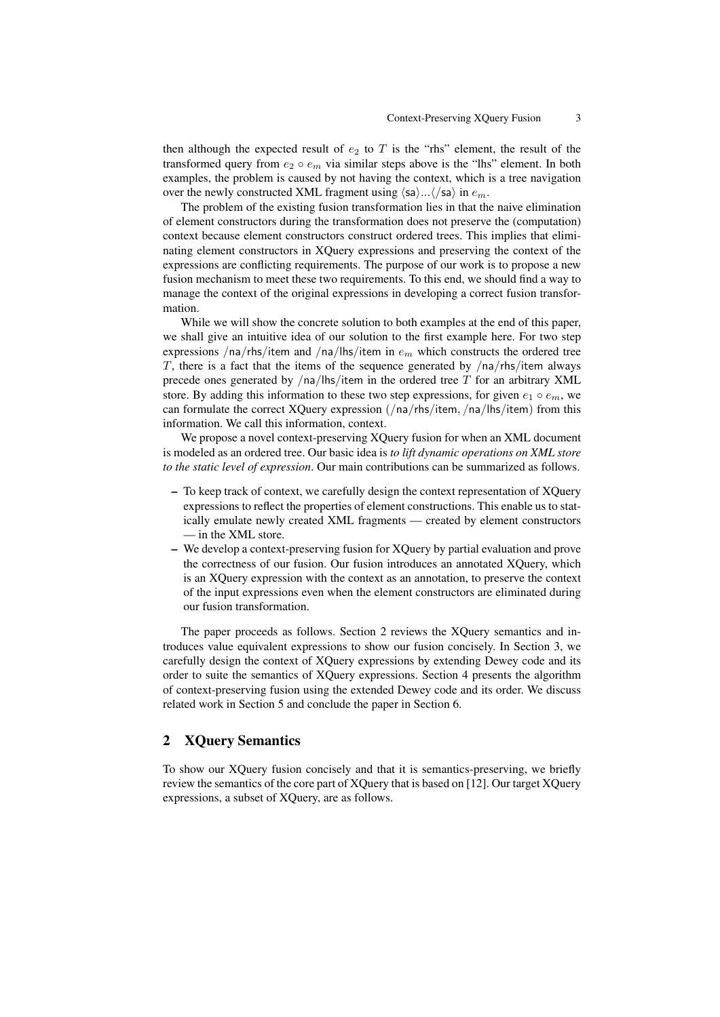then although the expected result of  $e_2$  to  $T$  is the "rhs" element, the result of the transformed query from  $e_2 \circ e_m$  via similar steps above is the "lhs" element. In both examples, the problem is caused by not having the context, which is a tree navigation over the newly constructed XML fragment using  $\langle sa \rangle$ ... $\langle /sa \rangle$  in  $e_m$ .

The problem of the existing fusion transformation lies in that the naive elimination of element constructors during the transformation does not preserve the (computation) context because element constructors construct ordered trees. This implies that eliminating element constructors in XQuery expressions and preserving the context of the expressions are conflicting requirements. The purpose of our work is to propose a new fusion mechanism to meet these two requirements. To this end, we should find a way to manage the context of the original expressions in developing a correct fusion transformation.

While we will show the concrete solution to both examples at the end of this paper, we shall give an intuitive idea of our solution to the first example here. For two step expressions */*na*/*rhs*/*item and */*na*/*lhs*/*item in *e<sup>m</sup>* which constructs the ordered tree *T*, there is a fact that the items of the sequence generated by */*na*/*rhs*/*item always precede ones generated by */*na*/*lhs*/*item in the ordered tree *T* for an arbitrary XML store. By adding this information to these two step expressions, for given  $e_1 \circ e_m$ , we can formulate the correct XQuery expression (*/*na*/*rhs*/*item*, /*na*/*lhs*/*item) from this information. We call this information, context.

We propose a novel context-preserving XQuery fusion for when an XML document is modeled as an ordered tree. Our basic idea is *to lift dynamic operations on XML store to the static level of expression*. Our main contributions can be summarized as follows.

- To keep track of context, we carefully design the context representation of XQuery expressions to reflect the properties of element constructions. This enable us to statically emulate newly created XML fragments — created by element constructors — in the XML store.
- We develop a context-preserving fusion for XQuery by partial evaluation and prove the correctness of our fusion. Our fusion introduces an annotated XQuery, which is an XQuery expression with the context as an annotation, to preserve the context of the input expressions even when the element constructors are eliminated during our fusion transformation.

The paper proceeds as follows. Section 2 reviews the XQuery semantics and introduces value equivalent expressions to show our fusion concisely. In Section 3, we carefully design the context of XQuery expressions by extending Dewey code and its order to suite the semantics of XQuery expressions. Section 4 presents the algorithm of context-preserving fusion using the extended Dewey code and its order. We discuss related work in Section 5 and conclude the paper in Section 6.

## 2 XQuery Semantics

To show our XQuery fusion concisely and that it is semantics-preserving, we briefly review the semantics of the core part of XQuery that is based on [12]. Our target XQuery expressions, a subset of XQuery, are as follows.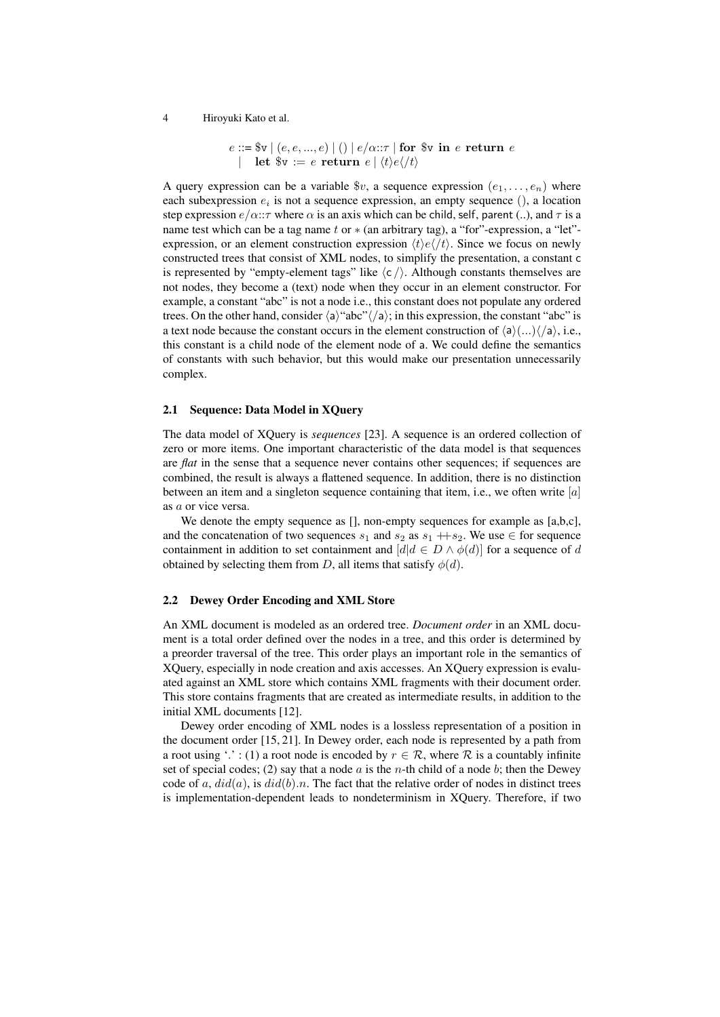$$
e ::= \text{\$v} \mid (e, e, ..., e) \mid () \mid e/\alpha :: \tau \mid \text{for } \text{\$v} \text{ in } e \text{ return } e
$$
  
|\n
$$
| \text{ let } \text{\$v} := e \text{ return } e \mid \langle t \rangle e \langle /t \rangle
$$

A query expression can be a variable  $v$ , a sequence expression  $(e_1, \ldots, e_n)$  where each subexpression  $e_i$  is not a sequence expression, an empty sequence (), a location step expression  $e/\alpha$ :: $\tau$  where  $\alpha$  is an axis which can be child, self, parent (..), and  $\tau$  is a name test which can be a tag name *t* or *∗* (an arbitrary tag), a "for"-expression, a "let" expression, or an element construction expression  $\langle t \rangle e \langle t \rangle$ . Since we focus on newly constructed trees that consist of XML nodes, to simplify the presentation, a constant c is represented by "empty-element tags" like  $\langle c \rangle$ . Although constants themselves are not nodes, they become a (text) node when they occur in an element constructor. For example, a constant "abc" is not a node i.e., this constant does not populate any ordered trees. On the other hand, consider  $\langle a \rangle^4$  abc" $\langle /a \rangle$ ; in this expression, the constant "abc" is a text node because the constant occurs in the element construction of  $\langle a \rangle$ *(...)* $\langle a \rangle$ *i.e.*, this constant is a child node of the element node of a. We could define the semantics of constants with such behavior, but this would make our presentation unnecessarily complex.

#### 2.1 Sequence: Data Model in XQuery

The data model of XQuery is *sequences* [23]. A sequence is an ordered collection of zero or more items. One important characteristic of the data model is that sequences are *flat* in the sense that a sequence never contains other sequences; if sequences are combined, the result is always a flattened sequence. In addition, there is no distinction between an item and a singleton sequence containing that item, i.e., we often write [*a*] as *a* or vice versa.

We denote the empty sequence as [], non-empty sequences for example as [a,b,c], and the concatenation of two sequences  $s_1$  and  $s_2$  as  $s_1 + s_2$ . We use  $\in$  for sequence containment in addition to set containment and  $[d]$   $d \in D \wedge \phi(d)]$  for a sequence of *d* obtained by selecting them from *D*, all items that satisfy  $\phi(d)$ .

#### 2.2 Dewey Order Encoding and XML Store

An XML document is modeled as an ordered tree. *Document order* in an XML document is a total order defined over the nodes in a tree, and this order is determined by a preorder traversal of the tree. This order plays an important role in the semantics of XQuery, especially in node creation and axis accesses. An XQuery expression is evaluated against an XML store which contains XML fragments with their document order. This store contains fragments that are created as intermediate results, in addition to the initial XML documents [12].

Dewey order encoding of XML nodes is a lossless representation of a position in the document order [15, 21]. In Dewey order, each node is represented by a path from a root using '.' : (1) a root node is encoded by  $r \in \mathcal{R}$ , where  $\mathcal{R}$  is a countably infinite set of special codes; (2) say that a node *a* is the *n*-th child of a node *b*; then the Dewey code of  $a$ ,  $did(a)$ , is  $did(b)$ .*n*. The fact that the relative order of nodes in distinct trees is implementation-dependent leads to nondeterminism in XQuery. Therefore, if two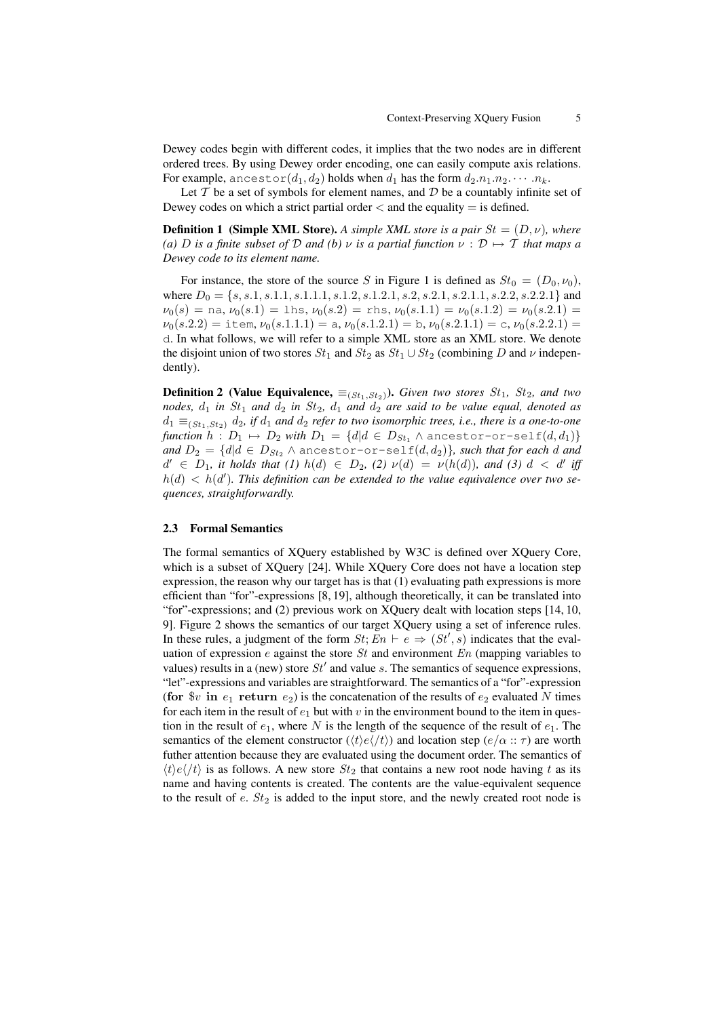Dewey codes begin with different codes, it implies that the two nodes are in different ordered trees. By using Dewey order encoding, one can easily compute axis relations. For example, ancestor( $d_1$ ,  $d_2$ ) holds when  $d_1$  has the form  $d_2$ *.n*<sub>1</sub>*.n*<sub>2</sub>*.*  $\cdots$  *.n*<sub>k</sub>.

Let  $T$  be a set of symbols for element names, and  $D$  be a countably infinite set of Dewey codes on which a strict partial order  $\lt$  and the equality  $=$  is defined.

**Definition 1 (Simple XML Store).** A simple XML store is a pair  $St = (D, \nu)$ , where *(a) D is a finite subset of D and (b)*  $\nu$  *is a partial function*  $\nu$  :  $D \mapsto T$  *that maps a Dewey code to its element name.*

For instance, the store of the source *S* in Figure 1 is defined as  $St_0 = (D_0, \nu_0)$ , where  $D_0 = \{s, s.1, s.1.1, s.1.1.1, s.1.2, s.1.2.1, s.2, s.2.1, s.2.1.1, s.2.2, s.2.2.1\}$  and  $\nu_0(s) = \text{na}, \nu_0(s.1) = \text{lhs}, \nu_0(s.2) = \text{rhs}, \nu_0(s.1.1) = \nu_0(s.1.2) = \nu_0(s.2.1) = \nu_0(s.2.1)$  $\nu_0(s.2.2) = \text{item}, \nu_0(s.1.1.1) = \text{a}, \nu_0(s.1.2.1) = \text{b}, \nu_0(s.2.1.1) = \text{c}, \nu_0(s.2.2.1) = \text{if } \nu_0(s.2.1.1) = \text{if } \nu_0(s.2.1.1) = \text{if } \nu_0(s.2.1.1) = \text{if } \nu_0(s.2.1.1) = \text{if } \nu_0(s.2.1.1) = \text{if } \nu_0(s.2.1.1) = \text{if } \nu_0(s.2.1.1) = \text{if } \nu_0(s.$ d. In what follows, we will refer to a simple XML store as an XML store. We denote the disjoint union of two stores  $St_1$  and  $St_2$  as  $St_1 \cup St_2$  (combining *D* and  $\nu$  independently).

Definition 2 (Value Equivalence, *≡*(*St*1*,St*2) ). *Given two stores St*1*, St*2*, and two nodes,*  $d_1$  *in*  $St_1$  *and*  $d_2$  *in*  $St_2$ *,*  $d_1$  *and*  $d_2$  *are said to be value equal, denoted as*  $d_1 \equiv_{(St_1,St_2)} d_2$ , *if*  $d_1$  *and*  $d_2$  *refer to two isomorphic trees, i.e., there is a one-to-one function*  $h : D_1 \mapsto D_2$  *with*  $D_1 = \{d | d \in D_{St_1} \land \text{ancestor-or-self}(d, d_1)\}$ *and*  $D_2$  = { $d|d$  ∈  $D_{St_2}$  ∧ ancestor-or-self( $d, d_2$ )}*, such that for each d and*  $d' \in D_1$ *, it holds that (1)*  $h(d) \in D_2$ *, (2)*  $\nu(d) = \nu(h(d))$ *, and (3)*  $d < d'$  *iff*  $h(d) < h(d')$ . This definition can be extended to the value equivalence over two se*quences, straightforwardly.*

#### 2.3 Formal Semantics

The formal semantics of XQuery established by W3C is defined over XQuery Core, which is a subset of XQuery [24]. While XQuery Core does not have a location step expression, the reason why our target has is that (1) evaluating path expressions is more efficient than "for"-expressions [8, 19], although theoretically, it can be translated into "for"-expressions; and (2) previous work on XQuery dealt with location steps [14, 10, 9]. Figure 2 shows the semantics of our target XQuery using a set of inference rules. In these rules, a judgment of the form  $St$ ;  $En \vdash e \Rightarrow (St', s)$  indicates that the evaluation of expression *e* against the store *St* and environment *En* (mapping variables to values) results in a (new) store  $St<sup>1</sup>$  and value *s*. The semantics of sequence expressions, "let"-expressions and variables are straightforward. The semantics of a "for"-expression (for  $v$  in  $e_1$  return  $e_2$ ) is the concatenation of the results of  $e_2$  evaluated N times for each item in the result of  $e_1$  but with  $v$  in the environment bound to the item in question in the result of  $e_1$ , where N is the length of the sequence of the result of  $e_1$ . The semantics of the element constructor ( $\langle t \rangle e \langle t \rangle$ ) and location step ( $e/\alpha$  :: *τ*) are worth futher attention because they are evaluated using the document order. The semantics of  $\langle t \rangle e \langle t \rangle$  is as follows. A new store  $St_2$  that contains a new root node having *t* as its name and having contents is created. The contents are the value-equivalent sequence to the result of *e*. *St*<sup>2</sup> is added to the input store, and the newly created root node is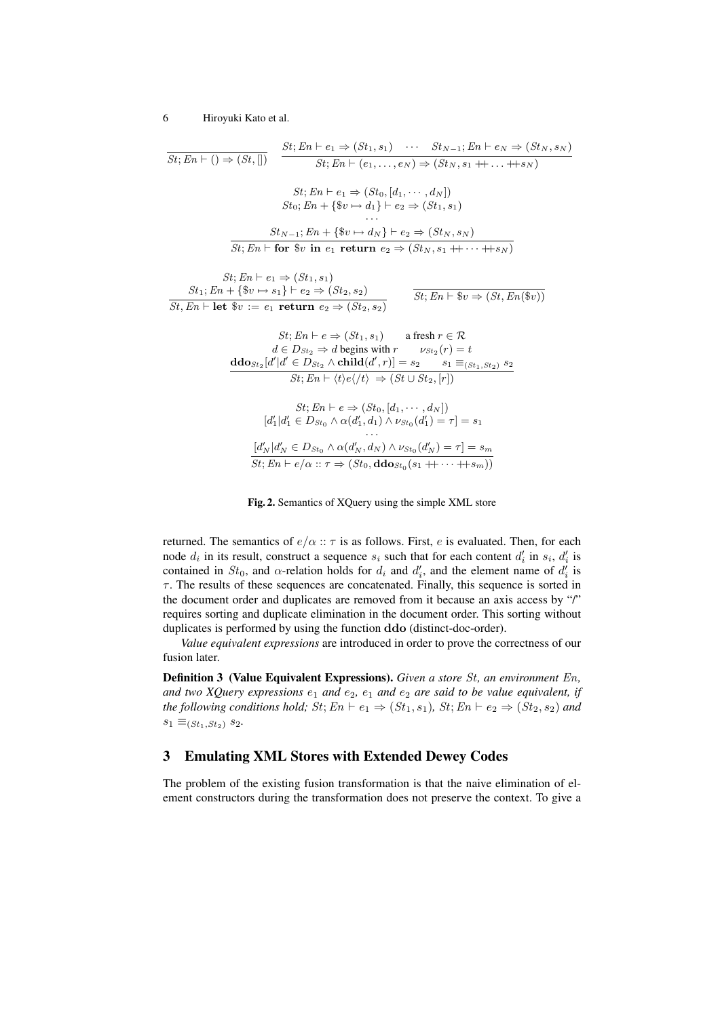$$
\frac{St; En \vdash e_1 \Rightarrow (St_1, s_1) \cdots St_{N-1}; En \vdash e_N \Rightarrow (St_N, s_N)}{St; En \vdash (e_1, \ldots, e_N) \Rightarrow (St_N, s_1 + \ldots + s_N)}
$$
\n
$$
St; En \vdash e_1 \Rightarrow (St_0, [d_1, \cdots, d_N])
$$
\n
$$
St_0; En + \{\$v \mapsto d_1\} \vdash e_2 \Rightarrow (St_1, s_1)
$$
\n
$$
\cdots
$$
\n
$$
St_{N-1}; En + \{\$v \mapsto d_N\} \vdash e_2 \Rightarrow (St_N, s_N)
$$
\n
$$
\overline{St; En \vdash \text{for } \$v \text{ in } e_1 \text{ return } e_2 \Rightarrow (St_N, s_1 + \cdots + s_N)}
$$
\n
$$
St; En \vdash e_1 \Rightarrow (St_1, s_1)
$$
\n
$$
St_1; En + \{\$v \mapsto s_1\} \vdash e_2 \Rightarrow (St_2, s_2)
$$
\n
$$
\overline{St; En \vdash \text{let } \$v := e_1 \text{ return } e_2 \Rightarrow (St_2, s_2)}
$$
\n
$$
St; En \vdash e \Rightarrow (St_1, s_1)
$$
\n
$$
St; En \vdash e \Rightarrow (St_1, s_1)
$$
\n
$$
St; En \vdash e \Rightarrow (St_1, s_1)
$$
\n
$$
St \in Sh \Rightarrow \text{let } \$v := e_1 \text{ return } e_2 \Rightarrow (St_2, s_2)
$$
\n
$$
St; En \vdash e \Rightarrow (St_1, s_1)
$$
\n
$$
f \vdash E_n \vdash e \Rightarrow (St_1, s_1) = \text{let } \text{let } \text{let } S_n \Rightarrow \text{let } \text{let } S_n \Rightarrow \text{let } S_n \Rightarrow \text{let } S_n \Rightarrow \text{let } S_n \Rightarrow \text{let } S_n \Rightarrow \text{let } S_n \Rightarrow \text{let } S_n \Rightarrow \text{let } S_n \Rightarrow \text{let } S_n \Rightarrow \text{let } S_n \Rightarrow \text{let } S_n \Rightarrow \text{let } S_n \Rightarrow \text{let } S_n \Rightarrow \text{let } S_n \Rightarrow \text{let } S_n \Rightarrow \text{let } S_n \Rightarrow \text{let } S_n \Rightarrow
$$

$$
\mathbf{do}_{St_2}[d']d' \in D_{St_2} \wedge \mathbf{child}(d', r)] = s_2 \qquad s_1 \equiv_{(St_1, St_2)} s_2
$$
\n
$$
St; En \vdash \langle t \rangle e \langle t \rangle \Rightarrow (St \cup St_2, [r])
$$
\n
$$
St; En \vdash e \Rightarrow (St_0, [d_1, \cdots, d_N])
$$
\n
$$
[d'_1|d'_1 \in D_{St_0} \wedge \alpha(d'_1, d_1) \wedge \nu_{St_0}(d'_1) = \tau] = s_1
$$
\n
$$
\vdots
$$
\n
$$
[d'_N|d'_N \in D_{St_0} \wedge \alpha(d'_N, d_N) \wedge \nu_{St_0}(d'_N) = \tau] = s_m
$$

Fig. 2. Semantics of XQuery using the simple XML store

 $St$ ;  $En \vdash e/\alpha :: \tau \Rightarrow (St_0, \mathbf{ddo}_{St_0}(s_1 +\cdots +s_m))$ 

returned. The semantics of  $e/\alpha$  ::  $\tau$  is as follows. First, *e* is evaluated. Then, for each node  $d_i$  in its result, construct a sequence  $s_i$  such that for each content  $d'_i$  in  $s_i$ ,  $d'_i$  is contained in  $St_0$ , and  $\alpha$ -relation holds for  $d_i$  and  $d'_i$ , and the element name of  $d'_i$  is *τ* . The results of these sequences are concatenated. Finally, this sequence is sorted in the document order and duplicates are removed from it because an axis access by "/" requires sorting and duplicate elimination in the document order. This sorting without duplicates is performed by using the function **ddo** (distinct-doc-order).

*Value equivalent expressions* are introduced in order to prove the correctness of our fusion later.

Definition 3 (Value Equivalent Expressions). *Given a store St, an environment En, and two XQuery expressions e*<sup>1</sup> *and e*2*, e*<sup>1</sup> *and e*<sup>2</sup> *are said to be value equivalent, if the following conditions hold;*  $St$ ;  $En \vdash e_1 \Rightarrow (St_1, s_1)$ ,  $St$ ;  $En \vdash e_2 \Rightarrow (St_2, s_2)$  *and*  $s_1 ≡$ ( $St_1$ , $St_2$ )  $s_2$ .

## 3 Emulating XML Stores with Extended Dewey Codes

The problem of the existing fusion transformation is that the naive elimination of element constructors during the transformation does not preserve the context. To give a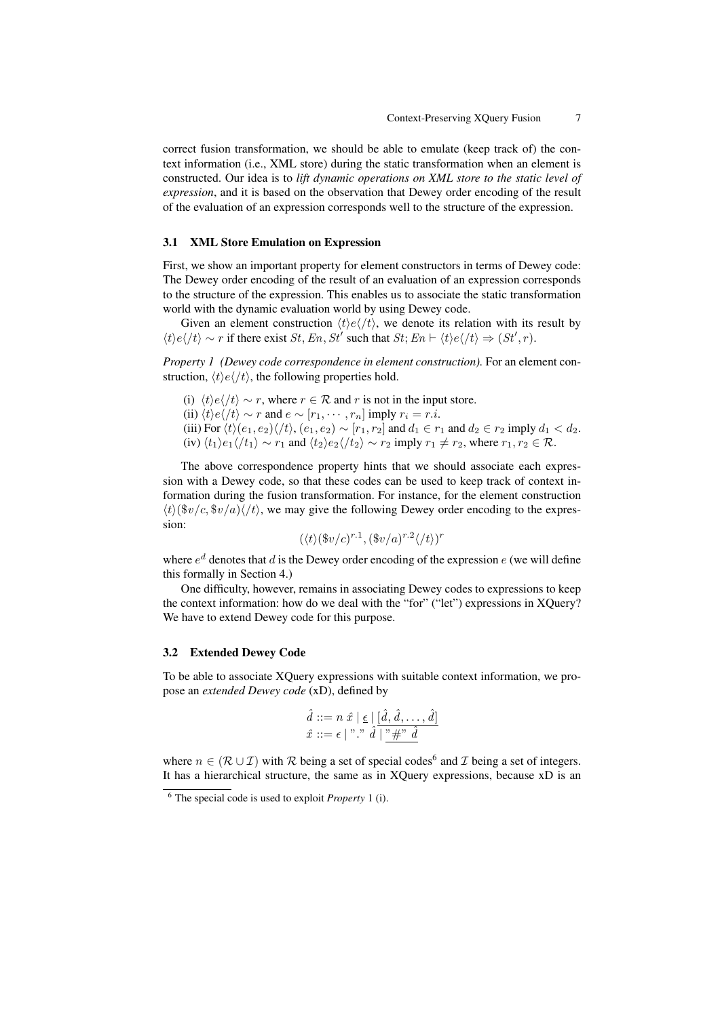correct fusion transformation, we should be able to emulate (keep track of) the context information (i.e., XML store) during the static transformation when an element is constructed. Our idea is to *lift dynamic operations on XML store to the static level of expression*, and it is based on the observation that Dewey order encoding of the result of the evaluation of an expression corresponds well to the structure of the expression.

#### 3.1 XML Store Emulation on Expression

First, we show an important property for element constructors in terms of Dewey code: The Dewey order encoding of the result of an evaluation of an expression corresponds to the structure of the expression. This enables us to associate the static transformation world with the dynamic evaluation world by using Dewey code.

Given an element construction  $\langle t \rangle e \langle t \rangle$ , we denote its relation with its result by  $\langle t \rangle e \langle t \rangle \sim r$  if there exist  $St$ ,  $En$ ,  $St'$  such that  $St$ ;  $En \vdash \langle t \rangle e \langle t \rangle \Rightarrow (St', r)$ .

*Property 1 (Dewey code correspondence in element construction).* For an element construction,  $\langle t \rangle e \langle t \rangle$ , the following properties hold.

- (i)  $\langle t \rangle e \langle t \rangle \sim r$ , where *r* ∈ R and *r* is not in the input store. (ii)  $\langle t \rangle e \langle t \rangle \rightarrow r$  and  $e \sim [r_1, \cdots, r_n]$  imply  $r_i = r.i$ .
- (iii) For  $\langle t \rangle (e_1, e_2) \langle /t \rangle$ ,  $(e_1, e_2) \sim [r_1, r_2]$  and  $d_1 \in r_1$  and  $d_2 \in r_2$  imply  $d_1 < d_2$ . (iv)  $\langle t_1 \rangle e_1 \langle t_1 \rangle \sim r_1$  and  $\langle t_2 \rangle e_2 \langle t_2 \rangle \sim r_2$  imply  $r_1 \neq r_2$ , where  $r_1, r_2 \in \mathcal{R}$ .

The above correspondence property hints that we should associate each expression with a Dewey code, so that these codes can be used to keep track of context information during the fusion transformation. For instance, for the element construction  $\langle t \rangle$ ( $\frac{f}{f}$  $\langle v \rangle$  $(c, \frac{f}{f}v/a)$ ) $\langle t \rangle$ , we may give the following Dewey order encoding to the expression:

$$
(\langle t \rangle (\text{S}v/c)^{r.1}, (\text{S}v/a)^{r.2} \langle /t \rangle)^r
$$

where  $e^d$  denotes that  $d$  is the Dewey order encoding of the expression  $e$  (we will define this formally in Section 4.)

One difficulty, however, remains in associating Dewey codes to expressions to keep the context information: how do we deal with the "for" ("let") expressions in XQuery? We have to extend Dewey code for this purpose.

#### 3.2 Extended Dewey Code

To be able to associate XQuery expressions with suitable context information, we propose an *extended Dewey code* (xD), defined by

$$
\hat{d} ::= n \hat{x} \mid \underline{\epsilon} \mid [\hat{d}, \hat{d}, \dots, \hat{d}]
$$

$$
\hat{x} ::= \epsilon \mid "." \hat{d} \mid " \#" \hat{d}
$$

where  $n \in (\mathcal{R} \cup \mathcal{I})$  with  $\mathcal{R}$  being a set of special codes<sup>6</sup> and  $\mathcal{I}$  being a set of integers. It has a hierarchical structure, the same as in XQuery expressions, because xD is an

<sup>6</sup> The special code is used to exploit *Property* 1 (i).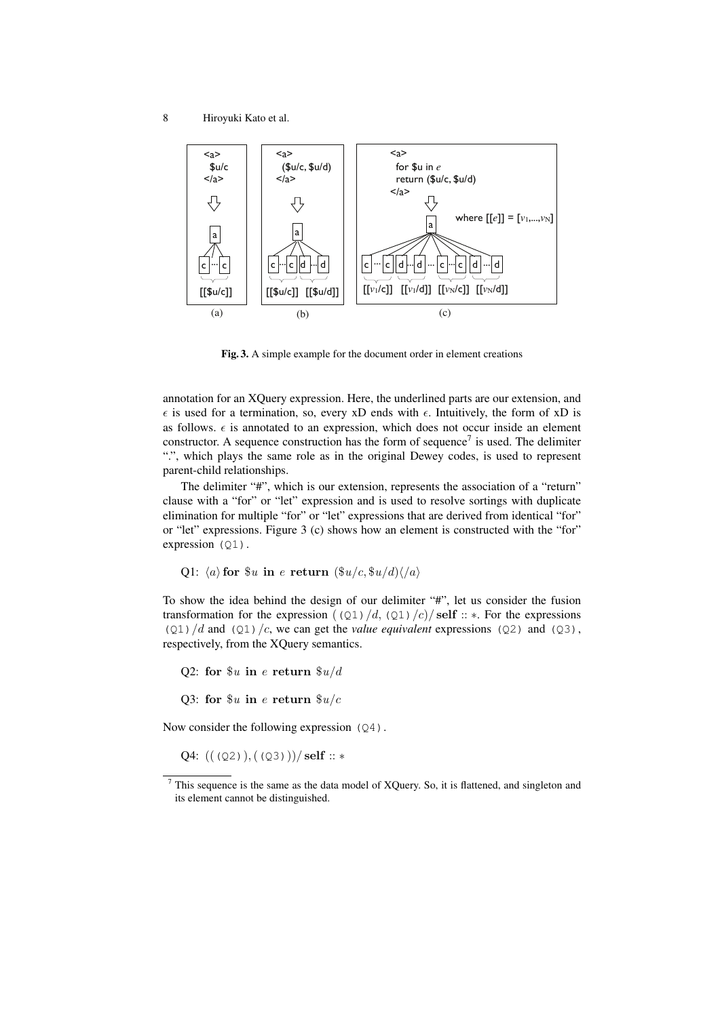

Fig. 3. A simple example for the document order in element creations

annotation for an XQuery expression. Here, the underlined parts are our extension, and  $\epsilon$  is used for a termination, so, every xD ends with  $\epsilon$ . Intuitively, the form of xD is as follows.  $\epsilon$  is annotated to an expression, which does not occur inside an element constructor. A sequence construction has the form of sequence<sup>7</sup> is used. The delimiter ".", which plays the same role as in the original Dewey codes, is used to represent parent-child relationships.

The delimiter "#", which is our extension, represents the association of a "return" clause with a "for" or "let" expression and is used to resolve sortings with duplicate elimination for multiple "for" or "let" expressions that are derived from identical "for" or "let" expressions. Figure 3 (c) shows how an element is constructed with the "for" expression  $(Q1)$ .

Q1:  $\langle a \rangle$  for  $\&u$  in *e* return  $(\&u/c,\&u/d)\langle/a \rangle$ 

To show the idea behind the design of our delimiter "#", let us consider the fusion transformation for the expression  $((Q1)/d, (Q1)/c)/\text{self}$  :: *\**. For the expressions (Q1)  $/d$  and (Q1)  $/c$ , we can get the *value equivalent* expressions (Q2) and (Q3), respectively, from the XQuery semantics.

Q2: for  $\mathcal{F}u$  in *e* return  $\mathcal{F}u/d$ Q3: for  $\frac{6}{3}u$  in *e* return  $\frac{6}{3}u/c$ 

Now consider the following expression  $(Q4)$ .

Q4: (((Q2))*,*((Q3)))*/* **self** :: *∗*

<sup>7</sup> This sequence is the same as the data model of XQuery. So, it is flattened, and singleton and its element cannot be distinguished.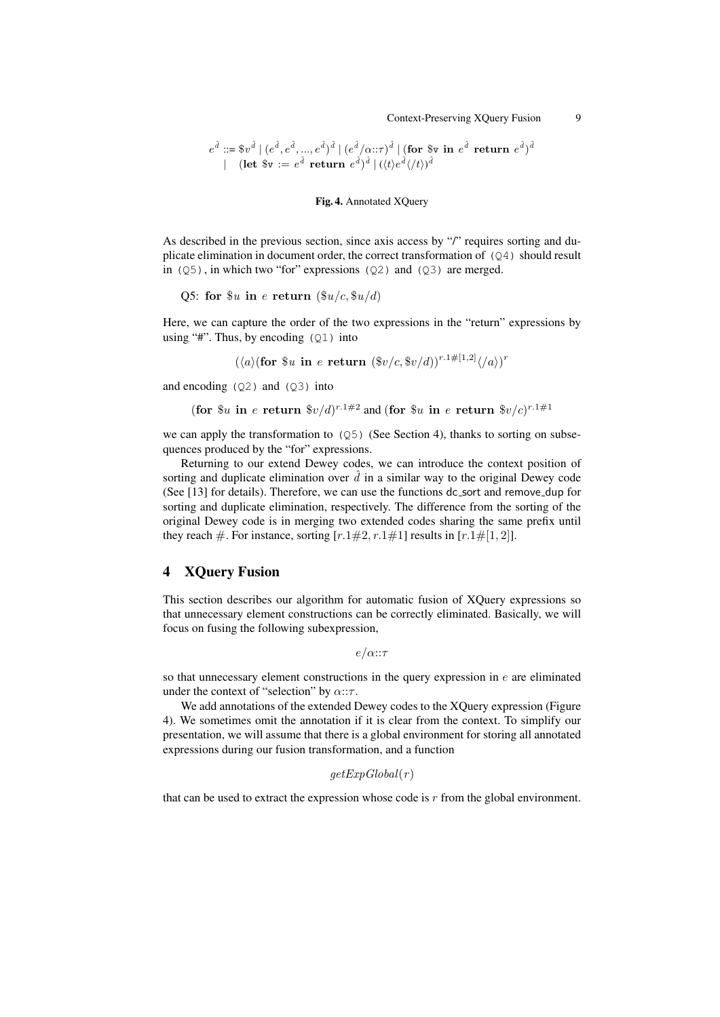Context-Preserving XQuery Fusion 9

$$
e^{\hat{d}} ::= \$v^{\hat{d}} \mid (e^{\hat{d}}, e^{\hat{d}}, ..., e^{\hat{d}})^{\hat{d}} \mid (e^{\hat{d}} / \alpha ::= \tau)^{\hat{d}} \mid (\text{for } \$v \text{ in } e^{\hat{d}} \text{ return } e^{\hat{d}})^{\hat{d}}
$$
  
 | (let  $\$v := e^{\hat{d}} \text{ return } e^{\hat{d}}\text{)}^{\hat{d}} \mid ((t)e^{\hat{d}}/(t))^{\hat{d}}$ 

#### Fig. 4. Annotated XQuery

As described in the previous section, since axis access by "/" requires sorting and duplicate elimination in document order, the correct transformation of  $(Q4)$  should result in  $(Q5)$ , in which two "for" expressions  $(Q2)$  and  $(Q3)$  are merged.

Q5: for 
$$
\$u
$$
 in  $e$  return  $(\$u/c, \$u/d)$ 

Here, we can capture the order of the two expressions in the "return" expressions by using "#". Thus, by encoding  $(Q1)$  into

$$
(\langle a \rangle (\text{for } \$u \text{ in } e \text{ return } (\$v/c, \$v/d))^{r.1\#[1,2]} \langle /a \rangle)^r
$$

and encoding  $(Q2)$  and  $(Q3)$  into

(for  $\mathscr{L}u$  in  $e$  return  $\mathscr{L}v/d$ )<sup> $r \cdot 1 \neq 2$ </sup> and (for  $\mathscr{L}u$  in  $e$  return  $\mathscr{L}v/c$ ) $r \cdot 1 \neq 1$ 

we can apply the transformation to  $(Q5)$  (See Section 4), thanks to sorting on subsequences produced by the "for" expressions.

Returning to our extend Dewey codes, we can introduce the context position of sorting and duplicate elimination over  $\hat{d}$  in a similar way to the original Dewey code (See [13] for details). Therefore, we can use the functions dc\_sort and remove\_dup for sorting and duplicate elimination, respectively. The difference from the sorting of the original Dewey code is in merging two extended codes sharing the same prefix until they reach  $\#$ . For instance, sorting  $[r.1 \# 2, r.1 \# 1]$  results in  $[r.1 \# [1, 2]$ .

## 4 XQuery Fusion

This section describes our algorithm for automatic fusion of XQuery expressions so that unnecessary element constructions can be correctly eliminated. Basically, we will focus on fusing the following subexpression,

*e/α*::*τ*

so that unnecessary element constructions in the query expression in *e* are eliminated under the context of "selection" by *α*::*τ* .

We add annotations of the extended Dewey codes to the XQuery expression (Figure 4). We sometimes omit the annotation if it is clear from the context. To simplify our presentation, we will assume that there is a global environment for storing all annotated expressions during our fusion transformation, and a function

*getExpGlobal*(*r* )

that can be used to extract the expression whose code is *r* from the global environment.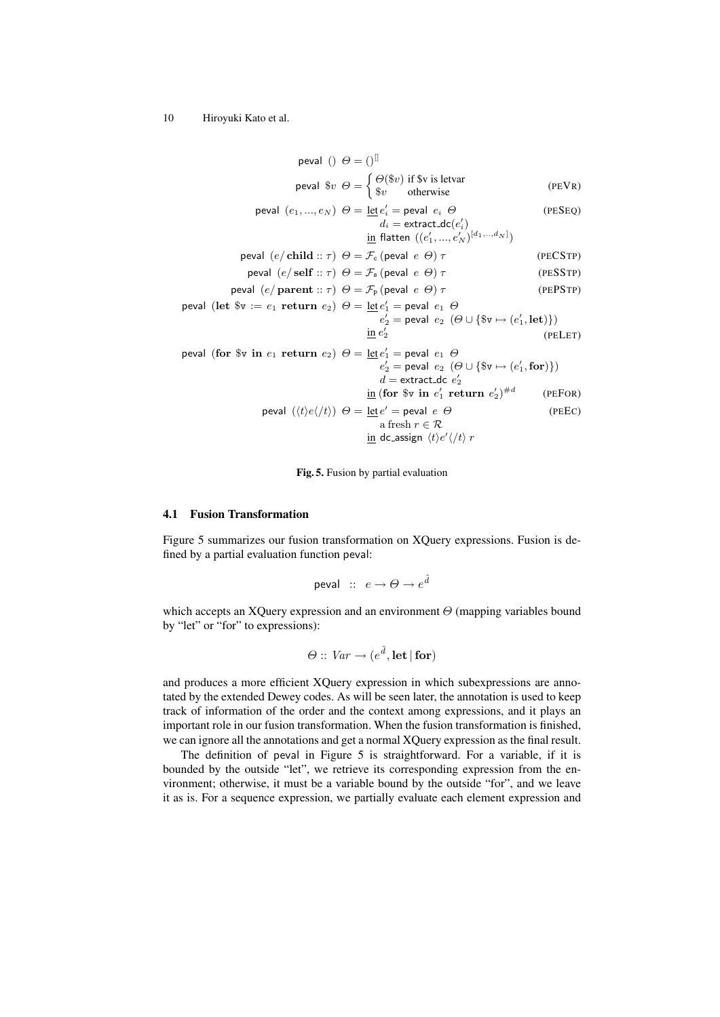$$
real ( ) Θ = ()[]
$$
\n
$$
real ( ) θ = ()[]
$$
\n
$$
real ( v ∂ θ) = ∫(0① + ∞(010))
$$
\n
$$
real ( e1, ..., eN) Θ = ⌊| ei' = 1 = 2 + ∂(0i + √(0i))
$$
\n
$$
real ( ei + √(0i + ∪(0i)) )
$$
\n
$$
real ( ei + √(0i + √(0i)) )
$$
\n
$$
real ( ei + √(0i + √(0i)) )
$$
\n
$$
real ( ei + ∘(0i + √(0i)) )
$$
\n
$$
real ( ei + ∘(0i + ∞(0i)) )
$$
\n
$$
real ( ei + ∘(0i + ∞(0i)) )
$$
\n
$$
real ( ei + ∘(0i + ∞(0i)) )
$$
\n
$$
real ( ei + ∘(0i + ∞(0i)) )
$$
\n
$$
real ( ei + ∘(0i + ∘(0i)) )
$$
\n
$$
real ( ei + ∘(0i + ∘(0i)) )
$$
\n
$$
real ( ei + ∘(0i + ∘(0i)) )
$$
\n
$$
real ( ei + ∘(0i + ∘(0i)) )
$$
\n
$$
real ( ei + ∘(0i + ∘(0i)) )
$$
\n
$$
real ( ei + ∘(0i + ∘(0<
$$

Fig. 5. Fusion by partial evaluation

#### 4.1 Fusion Transformation

Figure 5 summarizes our fusion transformation on XQuery expressions. Fusion is defined by a partial evaluation function peval:

$$
\text{peval} \ :: \ e \to \Theta \to e^{\hat{d}}
$$

which accepts an XQuery expression and an environment *Θ* (mapping variables bound by "let" or "for" to expressions):

$$
\Theta
$$
 ::  $Var \rightarrow (e^d, \text{let} | \text{for})$ 

*dˆ*

and produces a more efficient XQuery expression in which subexpressions are annotated by the extended Dewey codes. As will be seen later, the annotation is used to keep track of information of the order and the context among expressions, and it plays an important role in our fusion transformation. When the fusion transformation is finished, we can ignore all the annotations and get a normal XQuery expression as the final result.

The definition of peval in Figure 5 is straightforward. For a variable, if it is bounded by the outside "let", we retrieve its corresponding expression from the environment; otherwise, it must be a variable bound by the outside "for", and we leave it as is. For a sequence expression, we partially evaluate each element expression and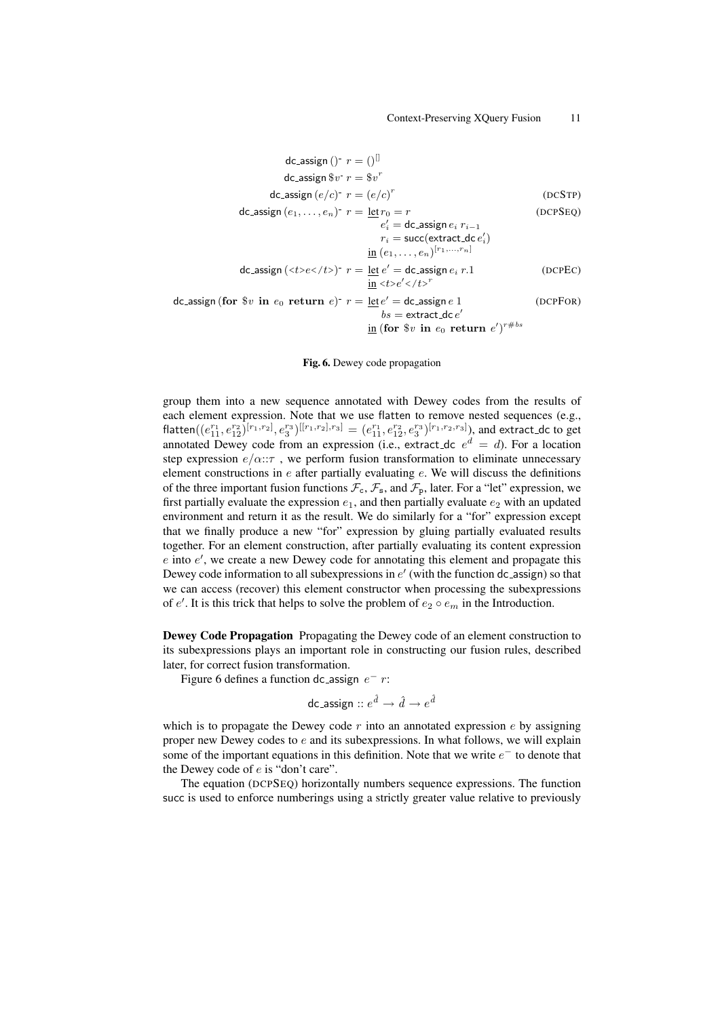$$
\begin{aligned}\n\text{dc}.\text{assign }() \cdot r &= ()^{\parallel} \\
\text{dc}.\text{assign } \$v \cdot r &= \$v^r \\
\text{dc}.\text{assign } (e/c) \cdot r &= (e/c)^r \\
\text{dc}.\text{assign } (e_1, \ldots, e_n) \cdot r &= \underbrace{\text{let } r_0 = r}_{e'_i = \text{dc}.\text{assign } e_i \cdot r_{i-1}} \\
r_i &= \text{succ}(\text{extract}.\text{dc}e'_i) \\
\text{in } (e_1, \ldots, e_n)^{[r_1, \ldots, r_n]} \\
\text{dc}.\text{assign } (\langle t \rangle \cdot e \langle t \rangle) \cdot r &= \underbrace{\text{let } e' = \text{dc}.\text{assign } e_i \cdot r.1}_{\text{in } \langle t \rangle \cdot e' \langle t \rangle^r} \\
\text{dc}.\text{assign } (\text{for } \$v \text{ in } e_0 \text{ return } e) \cdot r &= \underbrace{\text{let } e' = \text{dc}.\text{assign } e \cdot 1}_{\text{bs} = \text{extract}.\text{dc } e'} \\
\text{in } (\text{for } \$v \text{ in } e_0 \text{ return } e') \cdot r^{\#bs}\n\end{aligned}
$$

Fig. 6. Dewey code propagation

group them into a new sequence annotated with Dewey codes from the results of each element expression. Note that we use flatten to remove nested sequences (e.g., flatten $((e_{11}^{r_1},e_{12}^{r_2})^{[r_1,r_2]},e_3^{r_3})^{[[r_1,r_2],r_3]}=(e_{11}^{r_1},e_{12}^{r_2},e_3^{r_3})^{[r_1,r_2,r_3]}),$  and extract\_dc to get annotated Dewey code from an expression (i.e., extract\_dc  $e^d = d$ ). For a location step expression  $e/\alpha$ :: $\tau$ , we perform fusion transformation to eliminate unnecessary element constructions in *e* after partially evaluating *e*. We will discuss the definitions of the three important fusion functions  $\mathcal{F}_c$ ,  $\mathcal{F}_s$ , and  $\mathcal{F}_p$ , later. For a "let" expression, we first partially evaluate the expression  $e_1$ , and then partially evaluate  $e_2$  with an updated environment and return it as the result. We do similarly for a "for" expression except that we finally produce a new "for" expression by gluing partially evaluated results together. For an element construction, after partially evaluating its content expression  $e$  into  $e'$ , we create a new Dewey code for annotating this element and propagate this Dewey code information to all subexpressions in  $e'$  (with the function dc\_assign) so that we can access (recover) this element constructor when processing the subexpressions of  $e'$ . It is this trick that helps to solve the problem of  $e_2 \circ e_m$  in the Introduction.

Dewey Code Propagation Propagating the Dewey code of an element construction to its subexpressions plays an important role in constructing our fusion rules, described later, for correct fusion transformation.

Figure 6 defines a function dc assign *e <sup>−</sup> r*:

$$
\text{dc} \text{-assign} :: e^{\hat{d}} \rightarrow \hat{d} \rightarrow e^{\hat{d}}
$$

which is to propagate the Dewey code *r* into an annotated expression *e* by assigning proper new Dewey codes to *e* and its subexpressions. In what follows, we will explain some of the important equations in this definition. Note that we write *e <sup>−</sup>* to denote that the Dewey code of *e* is "don't care".

The equation (DCPSEQ) horizontally numbers sequence expressions. The function succ is used to enforce numberings using a strictly greater value relative to previously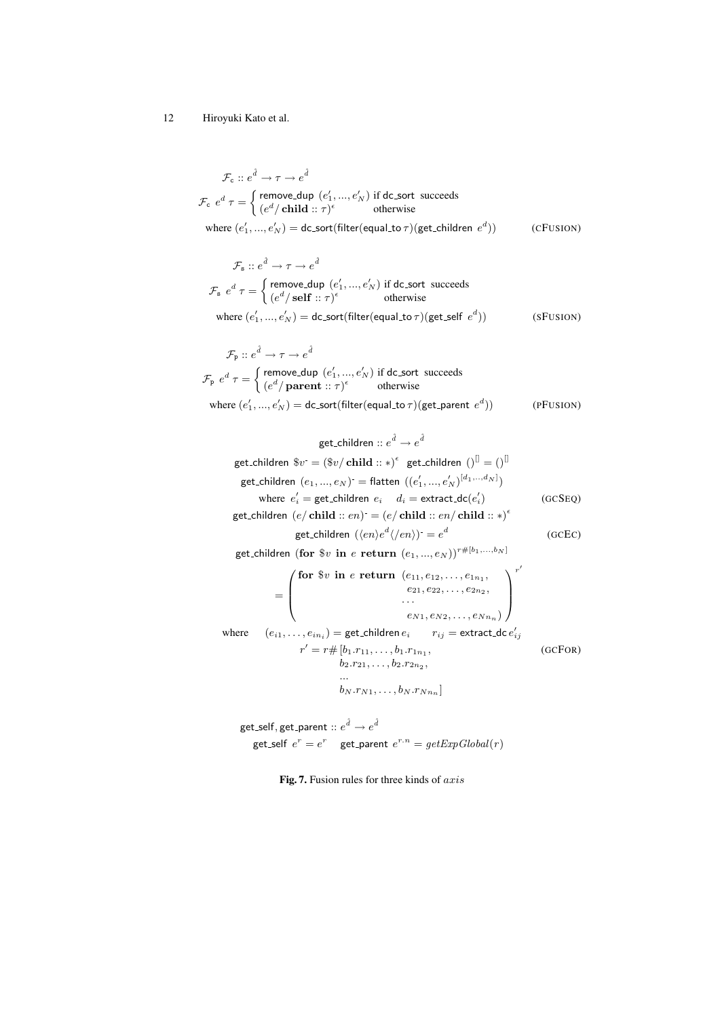$$
\mathcal{F}_{c} :: e^{\hat{d}} \to \tau \to e^{\hat{d}}
$$
\n
$$
\mathcal{F}_{c} e^{d} \tau = \begin{cases}\n\text{remove\_dup} \ (e'_{1}, ..., e'_{N}) \ \text{if} \ \text{dc\_sort} \ \text{success} \\
(e^{d}/\text{child} :: \tau)^{\epsilon} \ \text{otherwise}\n\end{cases}
$$
\nwhere  $(e'_{1}, ..., e'_{N}) = \text{dc\_sort}(\text{filter}(\text{equal\_to }\tau)(\text{get\_children } e^{d}))$  (CFUSION)

$$
\mathcal{F}_{s} :: e^{\hat{d}} \to \tau \to e^{\hat{d}}
$$
\n
$$
\mathcal{F}_{s} e^{d} \tau = \begin{cases}\n\text{remove\_dup} \ (e'_{1}, ..., e'_{N}) \ \text{if } \text{dc\_sort} \ \text{success} \\
 (e^{d}/\text{self} :: \tau)^{\epsilon} \end{cases} \text{otherwise}
$$
\n
$$
\text{where } (e'_{1}, ..., e'_{N}) = \text{dc\_sort}(\text{filter}(\text{equal\_to } \tau)(\text{get\_self } e^{d})) \tag{SFUSION}
$$

$$
\mathcal{F}_{\mathbf{p}} :: e^{\hat{d}} \to \tau \to e^{\hat{d}}
$$
\n
$$
\mathcal{F}_{\mathbf{p}} e^d \tau = \begin{cases}\n\text{remove\_dup} \ (e'_1, ..., e'_N) \ \text{if } d\mathbf{c}\text{-sort succeeds} \\
 (e^d / \text{parent} :: \tau)^\epsilon \qquad \text{otherwise}\n\end{cases}
$$
\nwhere  $(e'_1, ..., e'_N)$  =  $d\mathbf{c}\text{-sort}(\text{filter}(\text{equal}\text{-}t\sigma\tau)(\text{get\_parent } e^d))$  (PFUSION)

get children :: 
$$
e^{\hat{d}} \rightarrow e^{\hat{d}}
$$
  
\nget children  $\$v^{\cdot} = (\$v/child::*)^{\epsilon}$  get children  $(0^{\parallel} = (0^{\parallel})$   
\nget children  $(e_1, ..., e_N)^{\cdot} = \text{flatten }((e'_1, ..., e'_N)^{[d_1, ..., d_N]})$   
\nwhere  $e'_i = \text{get children } e_i$   $d_i = \text{extract.de}(e'_i)$  (GCSeQ)  
\nget children  $(e/\text{child::} e_n)^{\cdot} = (e/\text{child::} e_n/\text{child::} *)^{\epsilon}$   
\nget children  $(\langle e_n \rangle e^{\hat{d}} \langle e_n \rangle)^{\cdot} = e^{\hat{d}}$  (GCEC)  
\nget children (for  $\$v$  in  $e$  return  $(e_1, ..., e_N)^{r \#[b_1, ..., b_N]}$   
\n
$$
= \begin{pmatrix} \text{for } \$v \text{ in } e \text{ return } (e_{11}, e_{12}, ..., e_{1n_1}, \\ e_{21}, e_{22}, ..., e_{2n_2}, \\ ..., \\ e_{N1}, e_{N2}, ..., e_{Nn_n} \end{pmatrix}
$$
  
\nwhere  $(e_i_1, ..., e_{in_i}) = \text{get children } e_i$   $r_{ij} = \text{extract.de } e'_{ij}$   
\n $r' = r \# [b_1.r_{11}, ..., b_1.r_{1n_1}, \\ b_2.r_{21}, ..., b_2.r_{2n_2}, \\ ..., \\ b_N.r_{N1}, ..., b_N.r_{Nn_n}]$  (GCFOR)

get\_self, get\_parent  $:: e^{\hat{d}} \rightarrow e^{\hat{d}}$ get\_self  $e^r = e^r$  get\_parent  $e^{r.n} = getExpGlobal(r)$ 

Fig. 7. Fusion rules for three kinds of *axis*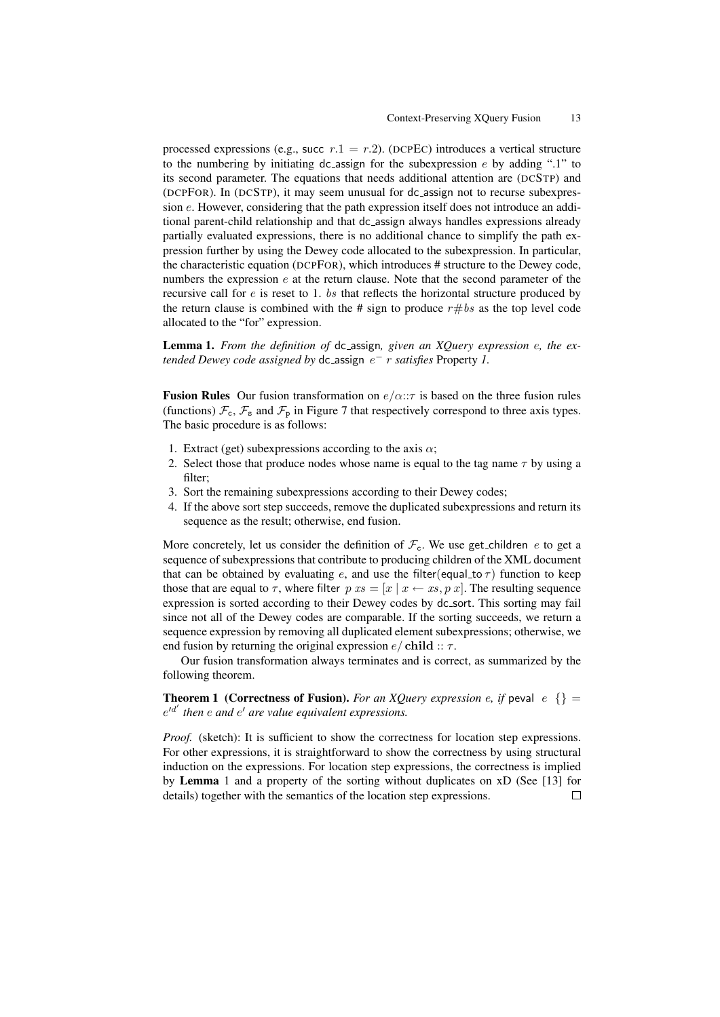processed expressions (e.g., succ  $r \cdot 1 = r \cdot 2$ ). (DCPEC) introduces a vertical structure to the numbering by initiating dc assign for the subexpression *e* by adding ".1" to its second parameter. The equations that needs additional attention are (DCSTP) and (DCPFOR). In (DCSTP), it may seem unusual for dc assign not to recurse subexpression *e*. However, considering that the path expression itself does not introduce an additional parent-child relationship and that dc\_assign always handles expressions already partially evaluated expressions, there is no additional chance to simplify the path expression further by using the Dewey code allocated to the subexpression. In particular, the characteristic equation (DCPFOR), which introduces # structure to the Dewey code, numbers the expression *e* at the return clause. Note that the second parameter of the recursive call for *e* is reset to 1. *bs* that reflects the horizontal structure produced by the return clause is combined with the # sign to produce  $r \neq b s$  as the top level code allocated to the "for" expression.

Lemma 1. *From the definition of* dc assign*, given an XQuery expression e, the extended Dewey code assigned by* dc assign *e <sup>−</sup> r satisfies* Property *1.*

**Fusion Rules** Our fusion transformation on  $e/\alpha$ :: $\tau$  is based on the three fusion rules (functions)  $\mathcal{F}_c$ ,  $\mathcal{F}_s$  and  $\mathcal{F}_p$  in Figure 7 that respectively correspond to three axis types. The basic procedure is as follows:

- 1. Extract (get) subexpressions according to the axis  $\alpha$ ;
- 2. Select those that produce nodes whose name is equal to the tag name *τ* by using a filter;
- 3. Sort the remaining subexpressions according to their Dewey codes;
- 4. If the above sort step succeeds, remove the duplicated subexpressions and return its sequence as the result; otherwise, end fusion.

More concretely, let us consider the definition of  $\mathcal{F}_c$ . We use get\_children *e* to get a sequence of subexpressions that contribute to producing children of the XML document that can be obtained by evaluating  $e$ , and use the filter(equal to  $\tau$ ) function to keep those that are equal to  $\tau$ , where filter  $p$   $xs = [x \mid x \leftarrow xs, p \, x]$ . The resulting sequence expression is sorted according to their Dewey codes by dc sort. This sorting may fail since not all of the Dewey codes are comparable. If the sorting succeeds, we return a sequence expression by removing all duplicated element subexpressions; otherwise, we end fusion by returning the original expression  $e /$  **child** ::  $\tau$ .

Our fusion transformation always terminates and is correct, as summarized by the following theorem.

**Theorem 1** (Correctness of Fusion). *For an XQuery expression e, if* peval  $e \{ \}$  $e^{d'}$  then  $e$  *and*  $e'$  *are value equivalent expressions.* 

*Proof.* (sketch): It is sufficient to show the correctness for location step expressions. For other expressions, it is straightforward to show the correctness by using structural induction on the expressions. For location step expressions, the correctness is implied by Lemma 1 and a property of the sorting without duplicates on xD (See [13] for details) together with the semantics of the location step expressions. $\Box$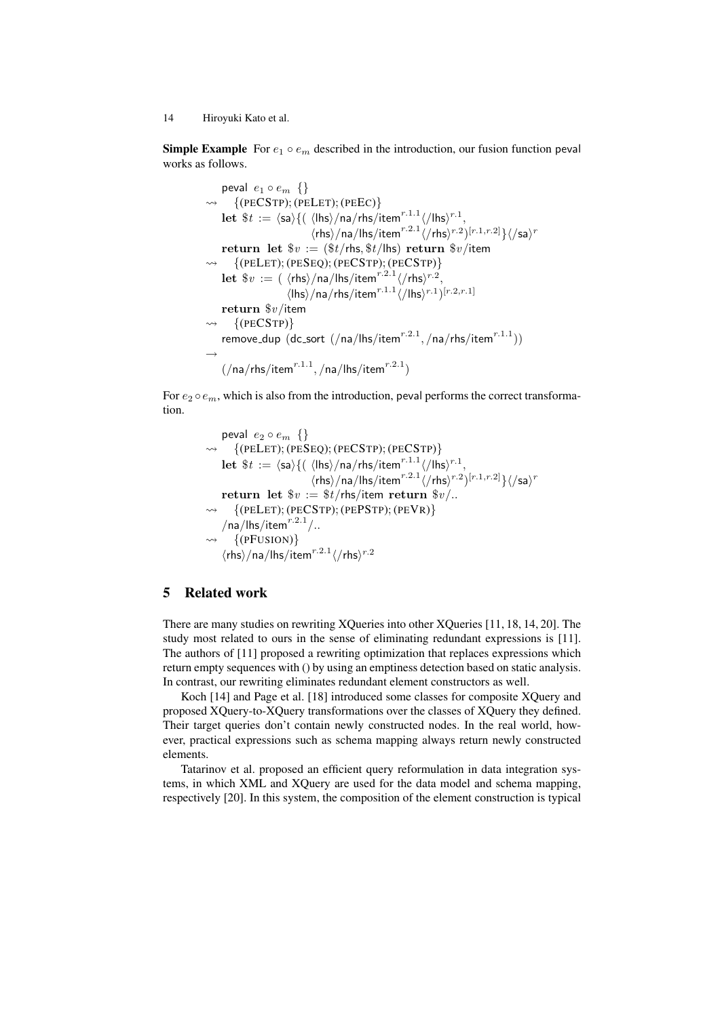**Simple Example** For  $e_1 \circ e_m$  described in the introduction, our fusion function peval works as follows.

```
peval e_1 \circ e_m \{\} {(PECSTP); (PELET); (PEEC)}
      \det f{t} := \langle s{a}\rangle \{ (\langle \text{llhs} \rangle / \text{na} / \text{rhs} / \text{item}^{r.1.1} \langle / \text{llhs} \rangle^{r.1},\langlerhs\rangle/na/lhs/item<sup>r.2.1</sup>\langle/rhs\rangle<sup>r.2</sup>\rangle<sup>[r.1,r.2]\rbrace\langle/sa\rangle<sup>r</sup></sup>
     return let v := (\frac{t}{r}) /rhs, \frac{t}{r} /hs) return \frac{v}{r} /item
 {(PELET); (PESEQ); (PECSTP); (PECSTP)}
      \det \$\mathit{v} := (\langle \mathsf{rhs} \rangle / \mathsf{na} / \mathsf{l}\mathsf{hs} / \mathsf{item}^{r.2.1} \langle / \mathsf{rhs} \rangle^{r.2},\langleIhs\rangle/na/rhs/item<sup>r.1.1</sup></sub>\langle/Ihs\rangle<sup>r.1</sup>)<sup>[r.2,r.1]</sup>
     return $v/item
 {(PECSTP)}
      remove dup (dc sort (/na/lhs/itemr.2.1
, /na/rhs/itemr.1.1
))
→
      (/na/rhs/itemr.1.1
, /na/lhs/itemr.2.1
)
```
For  $e_2 \circ e_m$ , which is also from the introduction, peval performs the correct transformation.

```
peval e_2 \circ e_m {}
 {(PELET); (PESEQ); (PECSTP); (PECSTP)}
       \det \, \$t := \langle \mathsf{sa} \rangle\{ (\langle \mathsf{I} \mathsf{hs} \rangle / \mathsf{na} / \mathsf{rhs} / \mathsf{item}^{r.1.1} \langle / \mathsf{I} \mathsf{hs} \rangle^{r.1},\langlerhs\rangle/na/lhs/item<sup>r.2.1</sup>\langle/rhs\rangle<sup>r.2</sup>)<sup>[r.1</sup>,r.2]}\langle/sa\rangle<sup>r</sup>
      return let \mathscr{F}_v := \mathscr{F}_t/\mathsf{rhs}/\mathsf{item} return \mathscr{F}_v/\mathsf{...} {(PELET); (PECSTP); (PEPSTP); (PEVR)}
       /na/lhs/itemr.2.1
/..
 {(PFUSION)}
       \langlerhs\rangle/na/lhs/item<sup>r.2.1</sup>\langle/rhs\rangle<sup>r.2</sup>
```
## 5 Related work

There are many studies on rewriting XQueries into other XQueries [11, 18, 14, 20]. The study most related to ours in the sense of eliminating redundant expressions is [11]. The authors of [11] proposed a rewriting optimization that replaces expressions which return empty sequences with () by using an emptiness detection based on static analysis. In contrast, our rewriting eliminates redundant element constructors as well.

Koch [14] and Page et al. [18] introduced some classes for composite XQuery and proposed XQuery-to-XQuery transformations over the classes of XQuery they defined. Their target queries don't contain newly constructed nodes. In the real world, however, practical expressions such as schema mapping always return newly constructed elements.

Tatarinov et al. proposed an efficient query reformulation in data integration systems, in which XML and XQuery are used for the data model and schema mapping, respectively [20]. In this system, the composition of the element construction is typical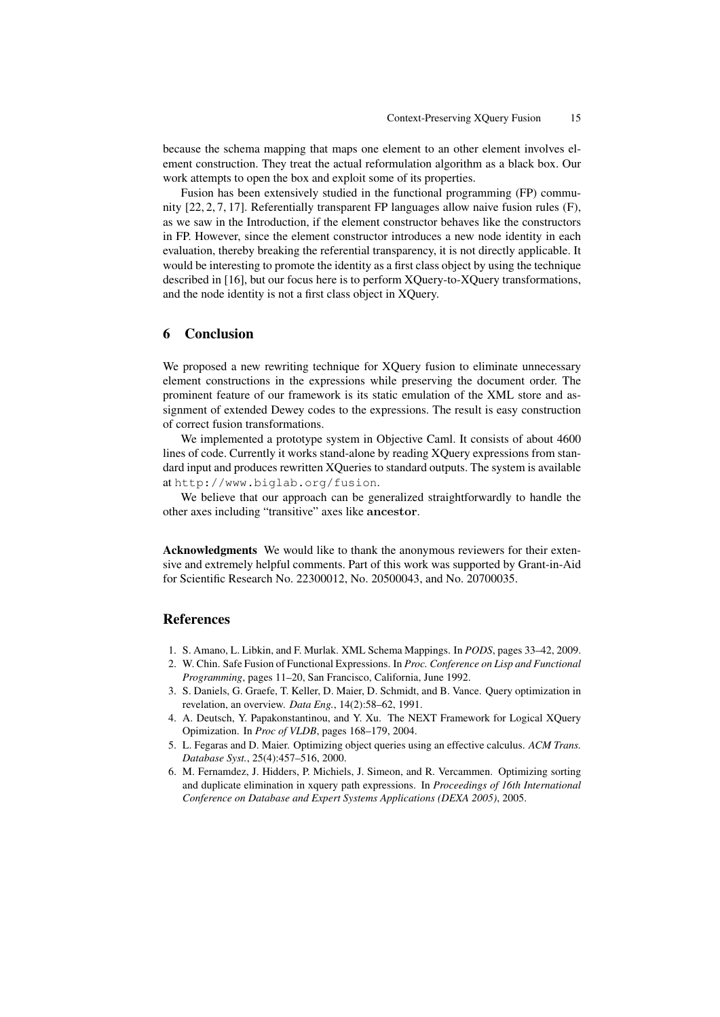because the schema mapping that maps one element to an other element involves element construction. They treat the actual reformulation algorithm as a black box. Our work attempts to open the box and exploit some of its properties.

Fusion has been extensively studied in the functional programming (FP) community [22, 2, 7, 17]. Referentially transparent FP languages allow naive fusion rules (F), as we saw in the Introduction, if the element constructor behaves like the constructors in FP. However, since the element constructor introduces a new node identity in each evaluation, thereby breaking the referential transparency, it is not directly applicable. It would be interesting to promote the identity as a first class object by using the technique described in [16], but our focus here is to perform XQuery-to-XQuery transformations, and the node identity is not a first class object in XQuery.

### 6 Conclusion

We proposed a new rewriting technique for XQuery fusion to eliminate unnecessary element constructions in the expressions while preserving the document order. The prominent feature of our framework is its static emulation of the XML store and assignment of extended Dewey codes to the expressions. The result is easy construction of correct fusion transformations.

We implemented a prototype system in Objective Caml. It consists of about 4600 lines of code. Currently it works stand-alone by reading XQuery expressions from standard input and produces rewritten XQueries to standard outputs. The system is available at http://www.biglab.org/fusion.

We believe that our approach can be generalized straightforwardly to handle the other axes including "transitive" axes like **ancestor**.

Acknowledgments We would like to thank the anonymous reviewers for their extensive and extremely helpful comments. Part of this work was supported by Grant-in-Aid for Scientific Research No. 22300012, No. 20500043, and No. 20700035.

#### References

- 1. S. Amano, L. Libkin, and F. Murlak. XML Schema Mappings. In *PODS*, pages 33–42, 2009.
- 2. W. Chin. Safe Fusion of Functional Expressions. In *Proc. Conference on Lisp and Functional Programming*, pages 11–20, San Francisco, California, June 1992.
- 3. S. Daniels, G. Graefe, T. Keller, D. Maier, D. Schmidt, and B. Vance. Query optimization in revelation, an overview. *Data Eng.*, 14(2):58–62, 1991.
- 4. A. Deutsch, Y. Papakonstantinou, and Y. Xu. The NEXT Framework for Logical XQuery Opimization. In *Proc of VLDB*, pages 168–179, 2004.
- 5. L. Fegaras and D. Maier. Optimizing object queries using an effective calculus. *ACM Trans. Database Syst.*, 25(4):457–516, 2000.
- 6. M. Fernamdez, J. Hidders, P. Michiels, J. Simeon, and R. Vercammen. Optimizing sorting and duplicate elimination in xquery path expressions. In *Proceedings of 16th International Conference on Database and Expert Systems Applications (DEXA 2005)*, 2005.